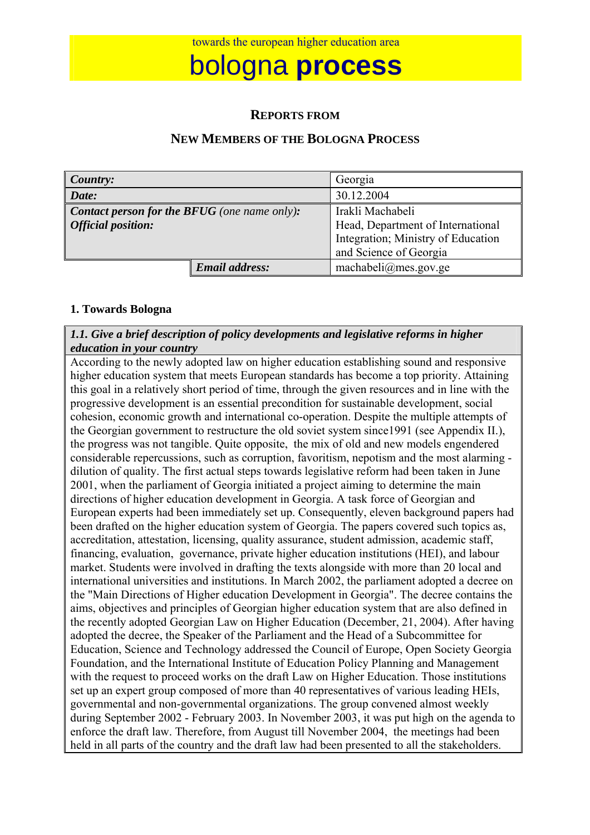# bologna **process**

#### **REPORTS FROM**

## **NEW MEMBERS OF THE BOLOGNA PROCESS**

| Country:                                            |                       | Georgia                            |  |
|-----------------------------------------------------|-----------------------|------------------------------------|--|
| Date:                                               |                       | 30.12.2004                         |  |
| <b>Contact person for the BFUG</b> (one name only): |                       | Irakli Machabeli                   |  |
| <b>Official position:</b>                           |                       | Head, Department of International  |  |
|                                                     |                       | Integration; Ministry of Education |  |
|                                                     |                       | and Science of Georgia             |  |
|                                                     | <b>Email address:</b> | machabeli@mes.gov.ge               |  |

#### **1. Towards Bologna**

#### *1.1. Give a brief description of policy developments and legislative reforms in higher education in your country*

According to the newly adopted law on higher education establishing sound and responsive higher education system that meets European standards has become a top priority. Attaining this goal in a relatively short period of time, through the given resources and in line with the progressive development is an essential precondition for sustainable development, social cohesion, economic growth and international co-operation. Despite the multiple attempts of the Georgian government to restructure the old soviet system since1991 (see Appendix II.), the progress was not tangible. Quite opposite, the mix of old and new models engendered considerable repercussions, such as corruption, favoritism, nepotism and the most alarming dilution of quality. The first actual steps towards legislative reform had been taken in June 2001, when the parliament of Georgia initiated a project aiming to determine the main directions of higher education development in Georgia. A task force of Georgian and European experts had been immediately set up. Consequently, eleven background papers had been drafted on the higher education system of Georgia. The papers covered such topics as, accreditation, attestation, licensing, quality assurance, student admission, academic staff, financing, evaluation, governance, private higher education institutions (HEI), and labour market. Students were involved in drafting the texts alongside with more than 20 local and international universities and institutions. In March 2002, the parliament adopted a decree on the "Main Directions of Higher education Development in Georgia". The decree contains the aims, objectives and principles of Georgian higher education system that are also defined in the recently adopted Georgian Law on Higher Education (December, 21, 2004). After having adopted the decree, the Speaker of the Parliament and the Head of a Subcommittee for Education, Science and Technology addressed the Council of Europe, Open Society Georgia Foundation, and the International Institute of Education Policy Planning and Management with the request to proceed works on the draft Law on Higher Education. Those institutions set up an expert group composed of more than 40 representatives of various leading HEIs, governmental and non-governmental organizations. The group convened almost weekly during September 2002 - February 2003. In November 2003, it was put high on the agenda to enforce the draft law. Therefore, from August till November 2004, the meetings had been held in all parts of the country and the draft law had been presented to all the stakeholders.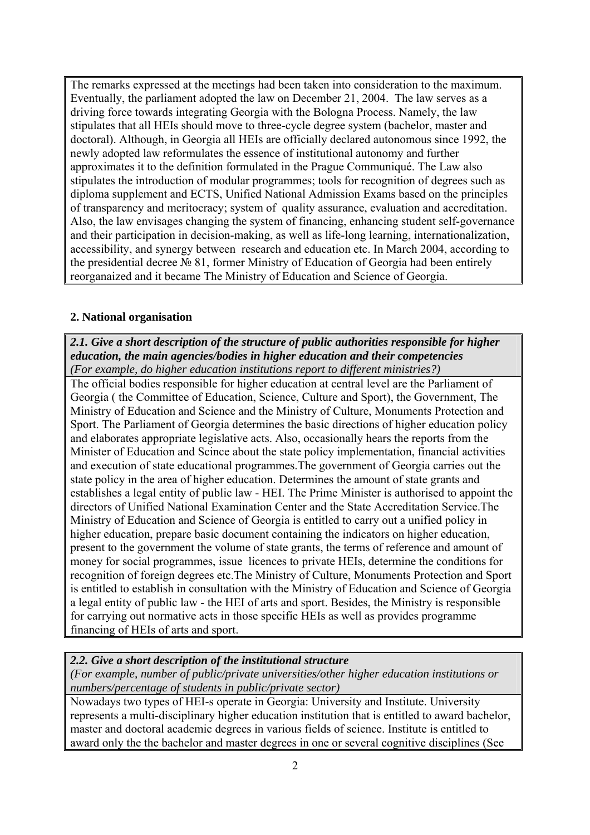The remarks expressed at the meetings had been taken into consideration to the maximum. Eventually, the parliament adopted the law on December 21, 2004. The law serves as a driving force towards integrating Georgia with the Bologna Process. Namely, the law stipulates that all HEIs should move to three-cycle degree system (bachelor, master and doctoral). Although, in Georgia all HEIs are officially declared autonomous since 1992, the newly adopted law reformulates the essence of institutional autonomy and further approximates it to the definition formulated in the Prague Communiqué. The Law also stipulates the introduction of modular programmes; tools for recognition of degrees such as diploma supplement and ECTS, Unified National Admission Exams based on the principles of transparency and meritocracy; system of quality assurance, evaluation and accreditation. Also, the law envisages changing the system of financing, enhancing student self-governance and their participation in decision-making, as well as life-long learning, internationalization, accessibility, and synergy between research and education etc. In March 2004, according to the presidential decree № 81, former Ministry of Education of Georgia had been entirely reorganaized and it became The Ministry of Education and Science of Georgia.

#### **2. National organisation**

*2.1. Give a short description of the structure of public authorities responsible for higher education, the main agencies/bodies in higher education and their competencies (For example, do higher education institutions report to different ministries?)* 

The official bodies responsible for higher education at central level are the Parliament of Georgia ( the Committee of Education, Science, Culture and Sport), the Government, The Ministry of Education and Science and the Ministry of Culture, Monuments Protection and Sport. The Parliament of Georgia determines the basic directions of higher education policy and elaborates appropriate legislative acts. Also, occasionally hears the reports from the Minister of Education and Scince about the state policy implementation, financial activities and execution of state educational programmes.The government of Georgia carries out the state policy in the area of higher education. Determines the amount of state grants and establishes a legal entity of public law - HEI. The Prime Minister is authorised to appoint the directors of Unified National Examination Center and the State Accreditation Service.The Ministry of Education and Science of Georgia is entitled to carry out a unified policy in higher education, prepare basic document containing the indicators on higher education, present to the government the volume of state grants, the terms of reference and amount of money for social programmes, issue licences to private HEIs, determine the conditions for recognition of foreign degrees etc.The Ministry of Culture, Monuments Protection and Sport is entitled to establish in consultation with the Ministry of Education and Science of Georgia a legal entity of public law - the HEI of arts and sport. Besides, the Ministry is responsible for carrying out normative acts in those specific HEIs as well as provides programme financing of HEIs of arts and sport.

#### *2.2. Give a short description of the institutional structure*

*(For example, number of public/private universities/other higher education institutions or numbers/percentage of students in public/private sector)* 

Nowadays two types of HEI-s operate in Georgia: University and Institute. University represents a multi-disciplinary higher education institution that is entitled to award bachelor, master and doctoral academic degrees in various fields of science. Institute is entitled to award only the the bachelor and master degrees in one or several cognitive disciplines (See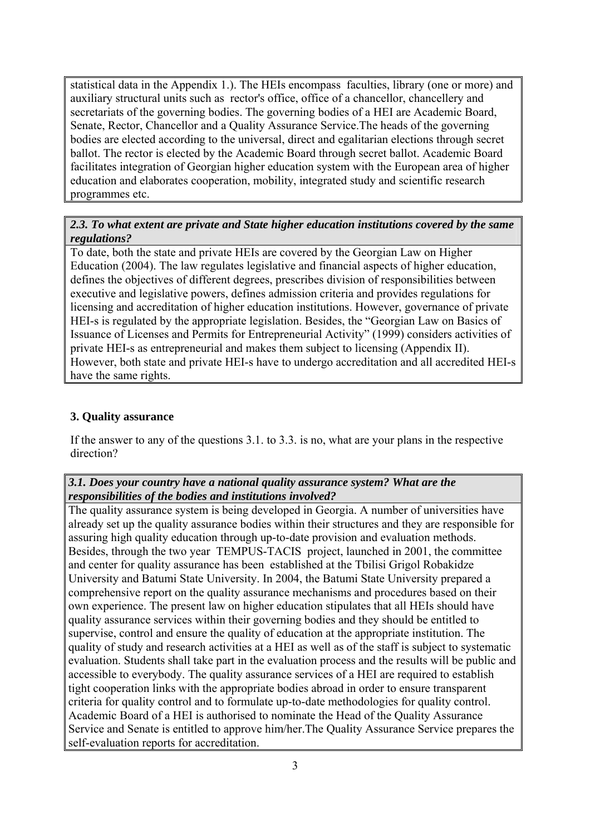statistical data in the Appendix 1.). The HEIs encompass faculties, library (one or more) and auxiliary structural units such as rector's office, office of a chancellor, chancellery and secretariats of the governing bodies. The governing bodies of a HEI are Academic Board, Senate, Rector, Chancellor and a Quality Assurance Service.The heads of the governing bodies are elected according to the universal, direct and egalitarian elections through secret ballot. The rector is elected by the Academic Board through secret ballot. Academic Board facilitates integration of Georgian higher education system with the European area of higher education and elaborates cooperation, mobility, integrated study and scientific research programmes etc.

## *2.3. To what extent are private and State higher education institutions covered by the same regulations?*

To date, both the state and private HEIs are covered by the Georgian Law on Higher Education (2004). The law regulates legislative and financial aspects of higher education, defines the objectives of different degrees, prescribes division of responsibilities between executive and legislative powers, defines admission criteria and provides regulations for licensing and accreditation of higher education institutions. However, governance of private HEI-s is regulated by the appropriate legislation. Besides, the "Georgian Law on Basics of Issuance of Licenses and Permits for Entrepreneurial Activity" (1999) considers activities of private HEI-s as entrepreneurial and makes them subject to licensing (Appendix II). However, both state and private HEI-s have to undergo accreditation and all accredited HEI-s have the same rights.

## **3. Quality assurance**

If the answer to any of the questions 3.1. to 3.3. is no, what are your plans in the respective direction?

#### *3.1. Does your country have a national quality assurance system? What are the responsibilities of the bodies and institutions involved?*

The quality assurance system is being developed in Georgia. A number of universities have already set up the quality assurance bodies within their structures and they are responsible for assuring high quality education through up-to-date provision and evaluation methods. Besides, through the two year TEMPUS-TACIS project, launched in 2001, the committee and center for quality assurance has been established at the Tbilisi Grigol Robakidze University and Batumi State University. In 2004, the Batumi State University prepared a comprehensive report on the quality assurance mechanisms and procedures based on their own experience. The present law on higher education stipulates that all HEIs should have quality assurance services within their governing bodies and they should be entitled to supervise, control and ensure the quality of education at the appropriate institution. The quality of study and research activities at a HEI as well as of the staff is subject to systematic evaluation. Students shall take part in the evaluation process and the results will be public and accessible to everybody. The quality assurance services of a HEI are required to establish tight cooperation links with the appropriate bodies abroad in order to ensure transparent criteria for quality control and to formulate up-to-date methodologies for quality control. Academic Board of a HEI is authorised to nominate the Head of the Quality Assurance Service and Senate is entitled to approve him/her.The Quality Assurance Service prepares the self-evaluation reports for accreditation.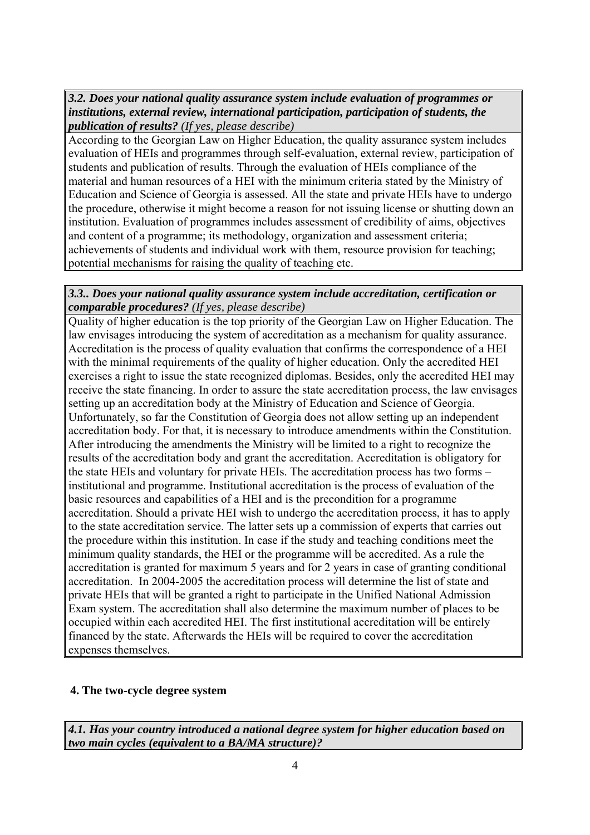*3.2. Does your national quality assurance system include evaluation of programmes or institutions, external review, international participation, participation of students, the publication of results? (If yes, please describe)*

According to the Georgian Law on Higher Education, the quality assurance system includes evaluation of HEIs and programmes through self-evaluation, external review, participation of students and publication of results. Through the evaluation of HEIs compliance of the material and human resources of a HEI with the minimum criteria stated by the Ministry of Education and Science of Georgia is assessed. All the state and private HEIs have to undergo the procedure, otherwise it might become a reason for not issuing license or shutting down an institution. Evaluation of programmes includes assessment of credibility of aims, objectives and content of a programme; its methodology, organization and assessment criteria; achievements of students and individual work with them, resource provision for teaching; potential mechanisms for raising the quality of teaching etc.

#### *3.3.. Does your national quality assurance system include accreditation, certification or comparable procedures? (If yes, please describe)*

Quality of higher education is the top priority of the Georgian Law on Higher Education. The law envisages introducing the system of accreditation as a mechanism for quality assurance. Accreditation is the process of quality evaluation that confirms the correspondence of a HEI with the minimal requirements of the quality of higher education. Only the accredited HEI exercises a right to issue the state recognized diplomas. Besides, only the accredited HEI may receive the state financing. In order to assure the state accreditation process, the law envisages setting up an accreditation body at the Ministry of Education and Science of Georgia. Unfortunately, so far the Constitution of Georgia does not allow setting up an independent accreditation body. For that, it is necessary to introduce amendments within the Constitution. After introducing the amendments the Ministry will be limited to a right to recognize the results of the accreditation body and grant the accreditation. Accreditation is obligatory for the state HEIs and voluntary for private HEIs. The accreditation process has two forms – institutional and programme. Institutional accreditation is the process of evaluation of the basic resources and capabilities of a HEI and is the precondition for a programme accreditation. Should a private HEI wish to undergo the accreditation process, it has to apply to the state accreditation service. The latter sets up a commission of experts that carries out the procedure within this institution. In case if the study and teaching conditions meet the minimum quality standards, the HEI or the programme will be accredited. As a rule the accreditation is granted for maximum 5 years and for 2 years in case of granting conditional accreditation. In 2004-2005 the accreditation process will determine the list of state and private HEIs that will be granted a right to participate in the Unified National Admission Exam system. The accreditation shall also determine the maximum number of places to be occupied within each accredited HEI. The first institutional accreditation will be entirely financed by the state. Afterwards the HEIs will be required to cover the accreditation expenses themselves.

#### **4. The two-cycle degree system**

*4.1. Has your country introduced a national degree system for higher education based on two main cycles (equivalent to a BA/MA structure)?*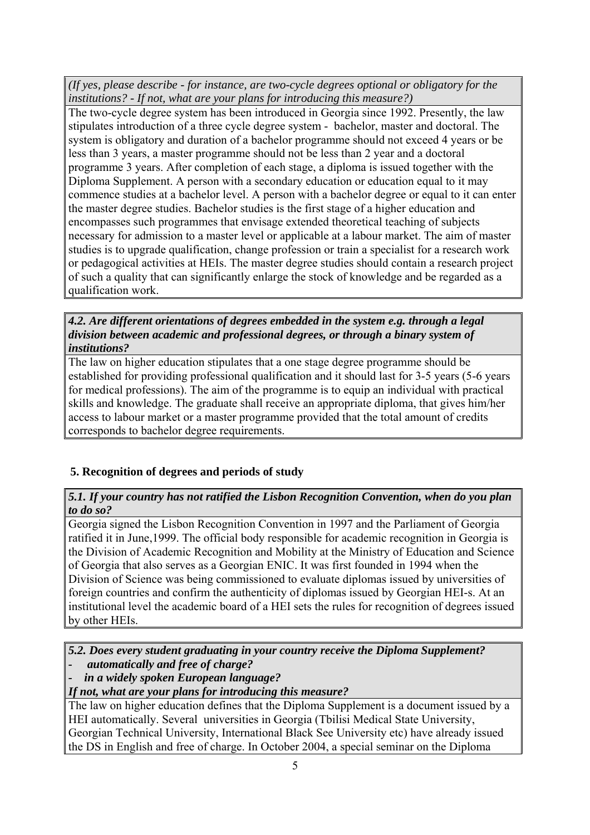*(If yes, please describe - for instance, are two-cycle degrees optional or obligatory for the institutions? - If not, what are your plans for introducing this measure?)*

The two-cycle degree system has been introduced in Georgia since 1992. Presently, the law stipulates introduction of a three cycle degree system - bachelor, master and doctoral. The system is obligatory and duration of a bachelor programme should not exceed 4 years or be less than 3 years, a master programme should not be less than 2 year and a doctoral programme 3 years. After completion of each stage, a diploma is issued together with the Diploma Supplement. A person with a secondary education or education equal to it may commence studies at a bachelor level. A person with a bachelor degree or equal to it can enter the master degree studies. Bachelor studies is the first stage of a higher education and encompasses such programmes that envisage extended theoretical teaching of subjects necessary for admission to a master level or applicable at a labour market. The aim of master studies is to upgrade qualification, change profession or train a specialist for a research work or pedagogical activities at HEIs. The master degree studies should contain a research project of such a quality that can significantly enlarge the stock of knowledge and be regarded as a qualification work.

*4.2. Are different orientations of degrees embedded in the system e.g. through a legal division between academic and professional degrees, or through a binary system of institutions?* 

The law on higher education stipulates that a one stage degree programme should be established for providing professional qualification and it should last for 3-5 years (5-6 years for medical professions). The aim of the programme is to equip an individual with practical skills and knowledge. The graduate shall receive an appropriate diploma, that gives him/her access to labour market or a master programme provided that the total amount of credits corresponds to bachelor degree requirements.

## **5. Recognition of degrees and periods of study**

*5.1. If your country has not ratified the Lisbon Recognition Convention, when do you plan to do so?* 

Georgia signed the Lisbon Recognition Convention in 1997 and the Parliament of Georgia ratified it in June,1999. The official body responsible for academic recognition in Georgia is the Division of Academic Recognition and Mobility at the Ministry of Education and Science of Georgia that also serves as a Georgian ENIC. It was first founded in 1994 when the Division of Science was being commissioned to evaluate diplomas issued by universities of foreign countries and confirm the authenticity of diplomas issued by Georgian HEI-s. At an institutional level the academic board of a HEI sets the rules for recognition of degrees issued by other HEIs.

*5.2. Does every student graduating in your country receive the Diploma Supplement?* 

- *automatically and free of charge?*
- *in a widely spoken European language?*

*If not, what are your plans for introducing this measure?* 

The law on higher education defines that the Diploma Supplement is a document issued by a HEI automatically. Several universities in Georgia (Tbilisi Medical State University, Georgian Technical University, International Black See University etc) have already issued the DS in English and free of charge. In October 2004, a special seminar on the Diploma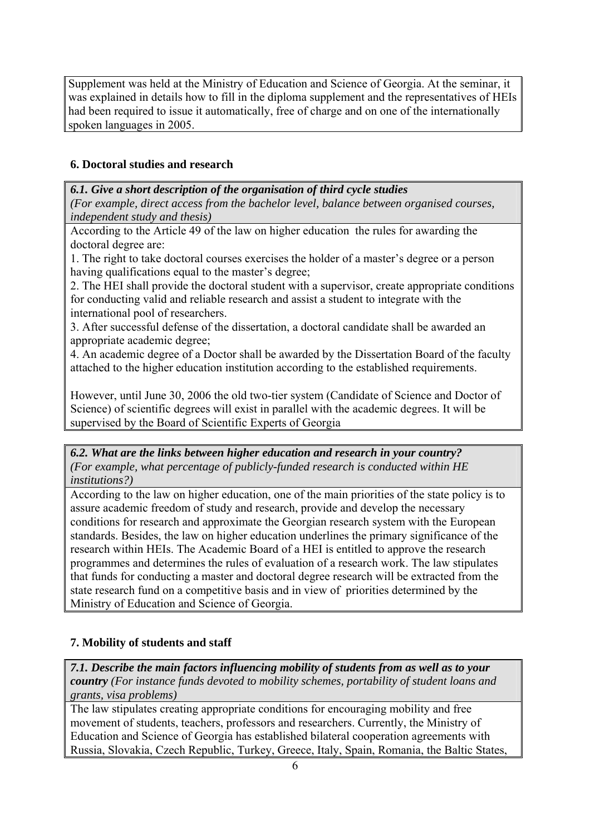Supplement was held at the Ministry of Education and Science of Georgia. At the seminar, it was explained in details how to fill in the diploma supplement and the representatives of HEIs had been required to issue it automatically, free of charge and on one of the internationally spoken languages in 2005.

## **6. Doctoral studies and research**

*6.1. Give a short description of the organisation of third cycle studies (For example, direct access from the bachelor level, balance between organised courses, independent study and thesis)*

According to the Article 49 of the law on higher education the rules for awarding the doctoral degree are:

1. The right to take doctoral courses exercises the holder of a master's degree or a person having qualifications equal to the master's degree;

2. The HEI shall provide the doctoral student with a supervisor, create appropriate conditions for conducting valid and reliable research and assist a student to integrate with the international pool of researchers.

3. After successful defense of the dissertation, a doctoral candidate shall be awarded an appropriate academic degree;

4. An academic degree of a Doctor shall be awarded by the Dissertation Board of the faculty attached to the higher education institution according to the established requirements.

However, until June 30, 2006 the old two-tier system (Candidate of Science and Doctor of Science) of scientific degrees will exist in parallel with the academic degrees. It will be supervised by the Board of Scientific Experts of Georgia

#### *6.2. What are the links between higher education and research in your country? (For example, what percentage of publicly-funded research is conducted within HE institutions?)*

According to the law on higher education, one of the main priorities of the state policy is to assure academic freedom of study and research, provide and develop the necessary conditions for research and approximate the Georgian research system with the European standards. Besides, the law on higher education underlines the primary significance of the research within HEIs. The Academic Board of a HEI is entitled to approve the research programmes and determines the rules of evaluation of a research work. The law stipulates that funds for conducting a master and doctoral degree research will be extracted from the state research fund on a competitive basis and in view of priorities determined by the Ministry of Education and Science of Georgia.

## **7. Mobility of students and staff**

*7.1. Describe the main factors influencing mobility of students from as well as to your country (For instance funds devoted to mobility schemes, portability of student loans and grants, visa problems)* 

The law stipulates creating appropriate conditions for encouraging mobility and free movement of students, teachers, professors and researchers. Currently, the Ministry of Education and Science of Georgia has established bilateral cooperation agreements with Russia, Slovakia, Czech Republic, Turkey, Greece, Italy, Spain, Romania, the Baltic States,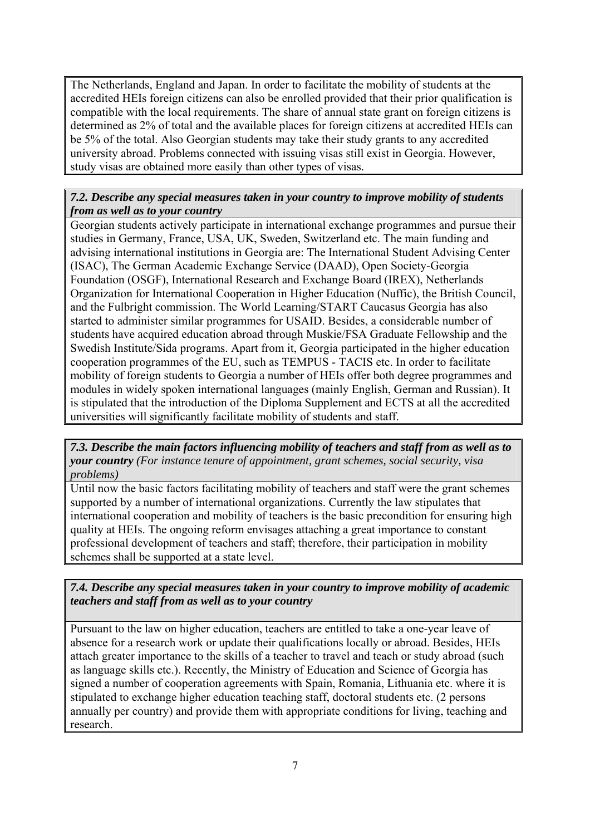The Netherlands, England and Japan. In order to facilitate the mobility of students at the accredited HEIs foreign citizens can also be enrolled provided that their prior qualification is compatible with the local requirements. The share of annual state grant on foreign citizens is determined as 2% of total and the available places for foreign citizens at accredited HEIs can be 5% of the total. Also Georgian students may take their study grants to any accredited university abroad. Problems connected with issuing visas still exist in Georgia. However, study visas are obtained more easily than other types of visas.

## *7.2. Describe any special measures taken in your country to improve mobility of students from as well as to your country*

Georgian students actively participate in international exchange programmes and pursue their studies in Germany, France, USA, UK, Sweden, Switzerland etc. The main funding and advising international institutions in Georgia are: The International Student Advising Center (ISAC), The German Academic Exchange Service (DAAD), Open Society-Georgia Foundation (OSGF), International Research and Exchange Board (IREX), Netherlands Organization for International Cooperation in Higher Education (Nuffic), the British Council, and the Fulbright commission. The World Learning/START Caucasus Georgia has also started to administer similar programmes for USAID. Besides, a considerable number of students have acquired education abroad through Muskie/FSA Graduate Fellowship and the Swedish Institute/Sida programs. Apart from it, Georgia participated in the higher education cooperation programmes of the EU, such as TEMPUS - TACIS etc. In order to facilitate mobility of foreign students to Georgia a number of HEIs offer both degree programmes and modules in widely spoken international languages (mainly English, German and Russian). It is stipulated that the introduction of the Diploma Supplement and ECTS at all the accredited universities will significantly facilitate mobility of students and staff.

*7.3. Describe the main factors influencing mobility of teachers and staff from as well as to your country (For instance tenure of appointment, grant schemes, social security, visa problems)* 

Until now the basic factors facilitating mobility of teachers and staff were the grant schemes supported by a number of international organizations. Currently the law stipulates that international cooperation and mobility of teachers is the basic precondition for ensuring high quality at HEIs. The ongoing reform envisages attaching a great importance to constant professional development of teachers and staff; therefore, their participation in mobility schemes shall be supported at a state level.

*7.4. Describe any special measures taken in your country to improve mobility of academic teachers and staff from as well as to your country*

Pursuant to the law on higher education, teachers are entitled to take a one-year leave of absence for a research work or update their qualifications locally or abroad. Besides, HEIs attach greater importance to the skills of a teacher to travel and teach or study abroad (such as language skills etc.). Recently, the Ministry of Education and Science of Georgia has signed a number of cooperation agreements with Spain, Romania, Lithuania etc. where it is stipulated to exchange higher education teaching staff, doctoral students etc. (2 persons annually per country) and provide them with appropriate conditions for living, teaching and research.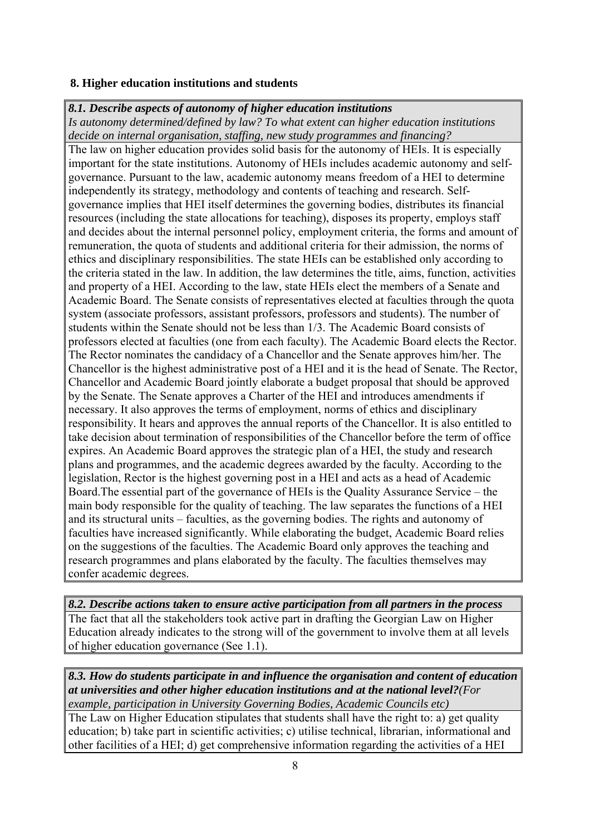#### **8. Higher education institutions and students**

#### *8.1. Describe aspects of autonomy of higher education institutions*

*Is autonomy determined/defined by law? To what extent can higher education institutions decide on internal organisation, staffing, new study programmes and financing?* 

The law on higher education provides solid basis for the autonomy of HEIs. It is especially important for the state institutions. Autonomy of HEIs includes academic autonomy and selfgovernance. Pursuant to the law, academic autonomy means freedom of a HEI to determine independently its strategy, methodology and contents of teaching and research. Selfgovernance implies that HEI itself determines the governing bodies, distributes its financial resources (including the state allocations for teaching), disposes its property, employs staff and decides about the internal personnel policy, employment criteria, the forms and amount of remuneration, the quota of students and additional criteria for their admission, the norms of ethics and disciplinary responsibilities. The state HEIs can be established only according to the criteria stated in the law. In addition, the law determines the title, aims, function, activities and property of a HEI. According to the law, state HEIs elect the members of a Senate and Academic Board. The Senate consists of representatives elected at faculties through the quota system (associate professors, assistant professors, professors and students). The number of students within the Senate should not be less than 1/3. The Academic Board consists of professors elected at faculties (one from each faculty). The Academic Board elects the Rector. The Rector nominates the candidacy of a Chancellor and the Senate approves him/her. The Chancellor is the highest administrative post of a HEI and it is the head of Senate. The Rector, Chancellor and Academic Board jointly elaborate a budget proposal that should be approved by the Senate. The Senate approves a Charter of the HEI and introduces amendments if necessary. It also approves the terms of employment, norms of ethics and disciplinary responsibility. It hears and approves the annual reports of the Chancellor. It is also entitled to take decision about termination of responsibilities of the Chancellor before the term of office expires. An Academic Board approves the strategic plan of a HEI, the study and research plans and programmes, and the academic degrees awarded by the faculty. According to the legislation, Rector is the highest governing post in a HEI and acts as a head of Academic Board.The essential part of the governance of HEIs is the Quality Assurance Service – the main body responsible for the quality of teaching. The law separates the functions of a HEI and its structural units – faculties, as the governing bodies. The rights and autonomy of faculties have increased significantly. While elaborating the budget, Academic Board relies on the suggestions of the faculties. The Academic Board only approves the teaching and research programmes and plans elaborated by the faculty. The faculties themselves may confer academic degrees.

*8.2. Describe actions taken to ensure active participation from all partners in the process*  The fact that all the stakeholders took active part in drafting the Georgian Law on Higher Education already indicates to the strong will of the government to involve them at all levels of higher education governance (See 1.1).

*8.3. How do students participate in and influence the organisation and content of education at universities and other higher education institutions and at the national level?(For example, participation in University Governing Bodies, Academic Councils etc)* 

The Law on Higher Education stipulates that students shall have the right to: a) get quality education; b) take part in scientific activities; c) utilise technical, librarian, informational and other facilities of a HEI; d) get comprehensive information regarding the activities of a HEI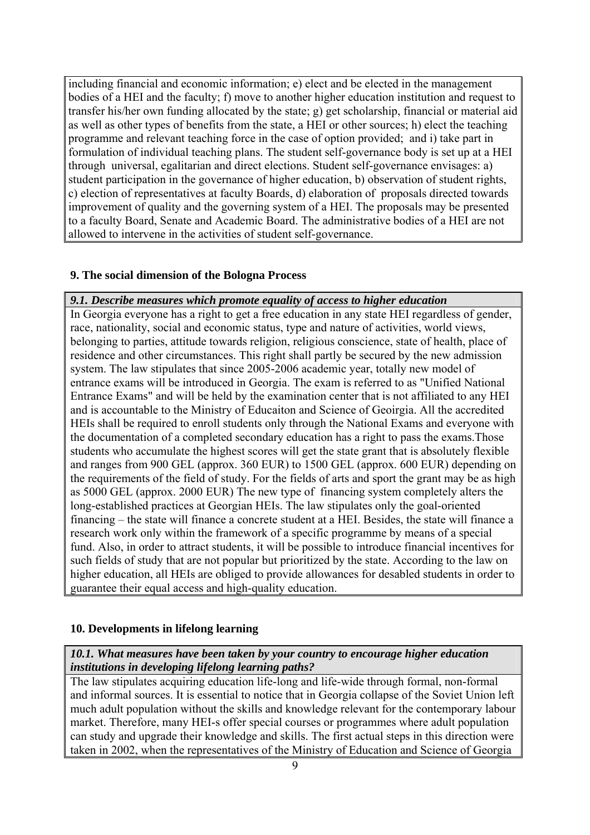including financial and economic information; e) elect and be elected in the management bodies of a HEI and the faculty; f) move to another higher education institution and request to transfer his/her own funding allocated by the state; g) get scholarship, financial or material aid as well as other types of benefits from the state, a HEI or other sources; h) elect the teaching programme and relevant teaching force in the case of option provided; and i) take part in formulation of individual teaching plans. The student self-governance body is set up at a HEI through universal, egalitarian and direct elections. Student self-governance envisages: a) student participation in the governance of higher education, b) observation of student rights, c) election of representatives at faculty Boards, d) elaboration of proposals directed towards improvement of quality and the governing system of a HEI. The proposals may be presented to a faculty Board, Senate and Academic Board. The administrative bodies of a HEI are not allowed to intervene in the activities of student self-governance.

## **9. The social dimension of the Bologna Process**

## *9.1. Describe measures which promote equality of access to higher education*

In Georgia everyone has a right to get a free education in any state HEI regardless of gender, race, nationality, social and economic status, type and nature of activities, world views, belonging to parties, attitude towards religion, religious conscience, state of health, place of residence and other circumstances. This right shall partly be secured by the new admission system. The law stipulates that since 2005-2006 academic year, totally new model of entrance exams will be introduced in Georgia. The exam is referred to as "Unified National Entrance Exams" and will be held by the examination center that is not affiliated to any HEI and is accountable to the Ministry of Educaiton and Science of Geoirgia. All the accredited HEIs shall be required to enroll students only through the National Exams and everyone with the documentation of a completed secondary education has a right to pass the exams.Those students who accumulate the highest scores will get the state grant that is absolutely flexible and ranges from 900 GEL (approx. 360 EUR) to 1500 GEL (approx. 600 EUR) depending on the requirements of the field of study. For the fields of arts and sport the grant may be as high as 5000 GEL (approx. 2000 EUR) The new type of financing system completely alters the long-established practices at Georgian HEIs. The law stipulates only the goal-oriented financing – the state will finance a concrete student at a HEI. Besides, the state will finance a research work only within the framework of a specific programme by means of a special fund. Also, in order to attract students, it will be possible to introduce financial incentives for such fields of study that are not popular but prioritized by the state. According to the law on higher education, all HEIs are obliged to provide allowances for desabled students in order to guarantee their equal access and high-quality education.

## **10. Developments in lifelong learning**

## *10.1. What measures have been taken by your country to encourage higher education institutions in developing lifelong learning paths?*

The law stipulates acquiring education life-long and life-wide through formal, non-formal and informal sources. It is essential to notice that in Georgia collapse of the Soviet Union left much adult population without the skills and knowledge relevant for the contemporary labour market. Therefore, many HEI-s offer special courses or programmes where adult population can study and upgrade their knowledge and skills. The first actual steps in this direction were taken in 2002, when the representatives of the Ministry of Education and Science of Georgia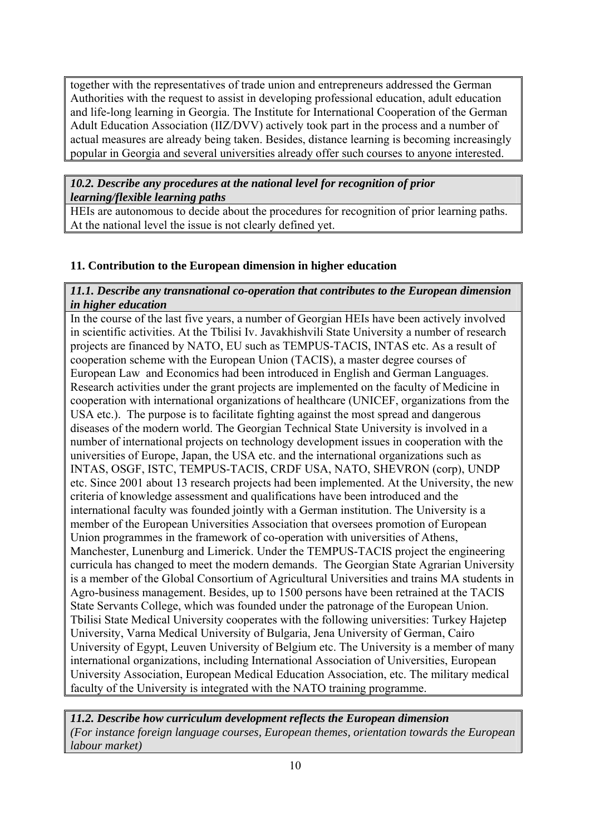together with the representatives of trade union and entrepreneurs addressed the German Authorities with the request to assist in developing professional education, adult education and life-long learning in Georgia. The Institute for International Cooperation of the German Adult Education Association (IIZ/DVV) actively took part in the process and a number of actual measures are already being taken. Besides, distance learning is becoming increasingly popular in Georgia and several universities already offer such courses to anyone interested.

*10.2. Describe any procedures at the national level for recognition of prior learning/flexible learning paths* 

HEIs are autonomous to decide about the procedures for recognition of prior learning paths. At the national level the issue is not clearly defined yet.

## **11. Contribution to the European dimension in higher education**

## *11.1. Describe any transnational co-operation that contributes to the European dimension in higher education*

In the course of the last five years, a number of Georgian HEIs have been actively involved in scientific activities. At the Tbilisi Iv. Javakhishvili State University a number of research projects are financed by NATO, EU such as TEMPUS-TACIS, INTAS etc. As a result of cooperation scheme with the European Union (TACIS), a master degree courses of European Law and Economics had been introduced in English and German Languages. Research activities under the grant projects are implemented on the faculty of Medicine in cooperation with international organizations of healthcare (UNICEF, organizations from the USA etc.). The purpose is to facilitate fighting against the most spread and dangerous diseases of the modern world. The Georgian Technical State University is involved in a number of international projects on technology development issues in cooperation with the universities of Europe, Japan, the USA etc. and the international organizations such as INTAS, OSGF, ISTC, TEMPUS-TACIS, CRDF USA, NATO, SHEVRON (corp), UNDP etc. Since 2001 about 13 research projects had been implemented. At the University, the new criteria of knowledge assessment and qualifications have been introduced and the international faculty was founded jointly with a German institution. The University is a member of the European Universities Association that oversees promotion of European Union programmes in the framework of co-operation with universities of Athens, Manchester, Lunenburg and Limerick. Under the TEMPUS-TACIS project the engineering curricula has changed to meet the modern demands. The Georgian State Agrarian University is a member of the Global Consortium of Agricultural Universities and trains MA students in Agro-business management. Besides, up to 1500 persons have been retrained at the TACIS State Servants College, which was founded under the patronage of the European Union. Tbilisi State Medical University cooperates with the following universities: Turkey Hajetep University, Varna Medical University of Bulgaria, Jena University of German, Cairo University of Egypt, Leuven University of Belgium etc. The University is a member of many international organizations, including International Association of Universities, European University Association, European Medical Education Association, etc. The military medical faculty of the University is integrated with the NATO training programme.

*11.2. Describe how curriculum development reflects the European dimension (For instance foreign language courses, European themes, orientation towards the European labour market)*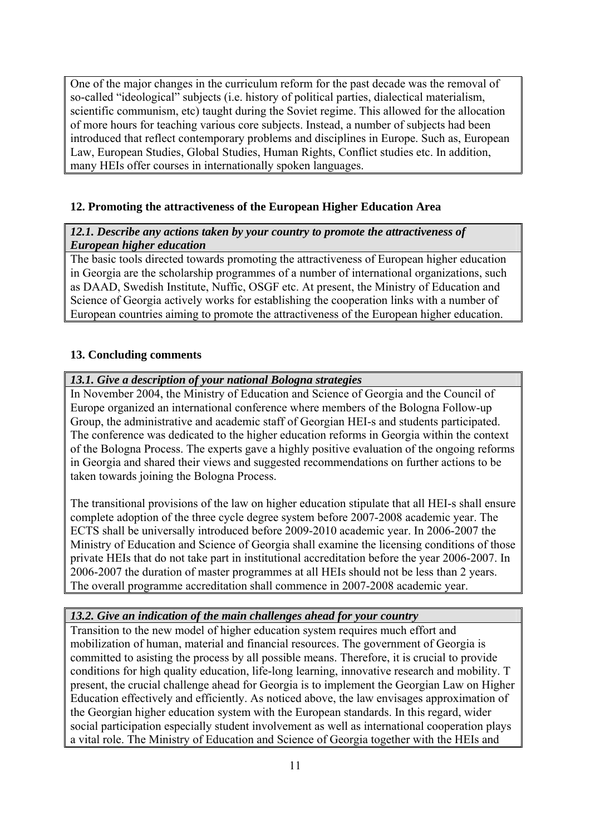One of the major changes in the curriculum reform for the past decade was the removal of so-called "ideological" subjects (i.e. history of political parties, dialectical materialism, scientific communism, etc) taught during the Soviet regime. This allowed for the allocation of more hours for teaching various core subjects. Instead, a number of subjects had been introduced that reflect contemporary problems and disciplines in Europe. Such as, European Law, European Studies, Global Studies, Human Rights, Conflict studies etc. In addition, many HEIs offer courses in internationally spoken languages.

## **12. Promoting the attractiveness of the European Higher Education Area**

#### *12.1. Describe any actions taken by your country to promote the attractiveness of European higher education*

The basic tools directed towards promoting the attractiveness of European higher education in Georgia are the scholarship programmes of a number of international organizations, such as DAAD, Swedish Institute, Nuffic, OSGF etc. At present, the Ministry of Education and Science of Georgia actively works for establishing the cooperation links with a number of European countries aiming to promote the attractiveness of the European higher education.

## **13. Concluding comments**

#### *13.1. Give a description of your national Bologna strategies*

In November 2004, the Ministry of Education and Science of Georgia and the Council of Europe organized an international conference where members of the Bologna Follow-up Group, the administrative and academic staff of Georgian HEI-s and students participated. The conference was dedicated to the higher education reforms in Georgia within the context of the Bologna Process. The experts gave a highly positive evaluation of the ongoing reforms in Georgia and shared their views and suggested recommendations on further actions to be taken towards joining the Bologna Process.

The transitional provisions of the law on higher education stipulate that all HEI-s shall ensure complete adoption of the three cycle degree system before 2007-2008 academic year. The ECTS shall be universally introduced before 2009-2010 academic year. In 2006-2007 the Ministry of Education and Science of Georgia shall examine the licensing conditions of those private HEIs that do not take part in institutional accreditation before the year 2006-2007. In 2006-2007 the duration of master programmes at all HEIs should not be less than 2 years. The overall programme accreditation shall commence in 2007-2008 academic year.

#### *13.2. Give an indication of the main challenges ahead for your country*

Transition to the new model of higher education system requires much effort and mobilization of human, material and financial resources. The government of Georgia is committed to asisting the process by all possible means. Therefore, it is crucial to provide conditions for high quality education, life-long learning, innovative research and mobility. T present, the crucial challenge ahead for Georgia is to implement the Georgian Law on Higher Education effectively and efficiently. As noticed above, the law envisages approximation of the Georgian higher education system with the European standards. In this regard, wider social participation especially student involvement as well as international cooperation plays a vital role. The Ministry of Education and Science of Georgia together with the HEIs and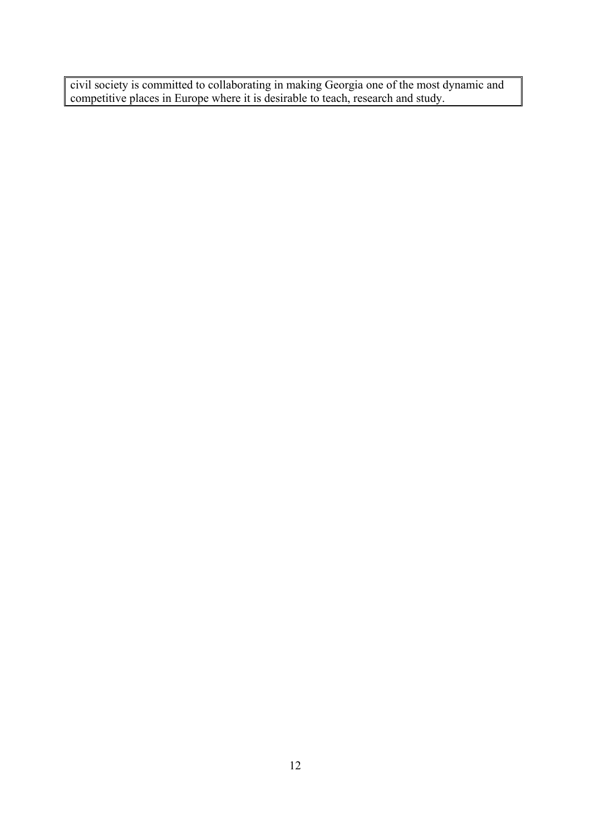civil society is committed to collaborating in making Georgia one of the most dynamic and competitive places in Europe where it is desirable to teach, research and study.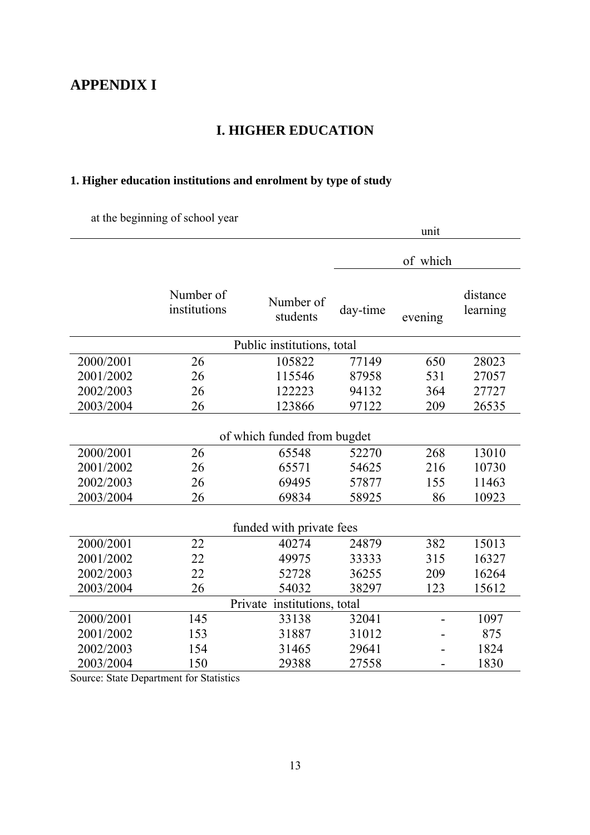## **APPENDIX I**

## **I. HIGHER EDUCATION**

## **1. Higher education institutions and enrolment by type of study**

at the beginning of school year

|           |                           |                             |          | unit     |                      |
|-----------|---------------------------|-----------------------------|----------|----------|----------------------|
|           |                           |                             |          | of which |                      |
|           | Number of<br>institutions | Number of<br>students       | day-time | evening  | distance<br>learning |
|           |                           | Public institutions, total  |          |          |                      |
| 2000/2001 | 26                        | 105822                      | 77149    | 650      | 28023                |
| 2001/2002 | 26                        | 115546                      | 87958    | 531      | 27057                |
| 2002/2003 | 26                        | 122223                      | 94132    | 364      | 27727                |
| 2003/2004 | 26                        | 123866                      | 97122    | 209      | 26535                |
|           |                           | of which funded from bugdet |          |          |                      |
| 2000/2001 | 26                        | 65548                       | 52270    | 268      | 13010                |
| 2001/2002 | 26                        | 65571                       | 54625    | 216      | 10730                |
| 2002/2003 | 26                        | 69495                       | 57877    | 155      | 11463                |
| 2003/2004 | 26                        | 69834                       | 58925    | 86       | 10923                |
|           |                           | funded with private fees    |          |          |                      |
| 2000/2001 | 22                        | 40274                       | 24879    | 382      | 15013                |
| 2001/2002 | 22                        | 49975                       | 33333    | 315      | 16327                |
| 2002/2003 | 22                        | 52728                       | 36255    | 209      | 16264                |
| 2003/2004 | 26                        | 54032                       | 38297    | 123      | 15612                |
|           |                           | Private institutions, total |          |          |                      |
| 2000/2001 | 145                       | 33138                       | 32041    |          | 1097                 |
| 2001/2002 | 153                       | 31887                       | 31012    |          | 875                  |
| 2002/2003 | 154                       | 31465                       | 29641    |          | 1824                 |
| 2003/2004 | 150                       | 29388                       | 27558    |          | 1830                 |

Source: State Department for Statistics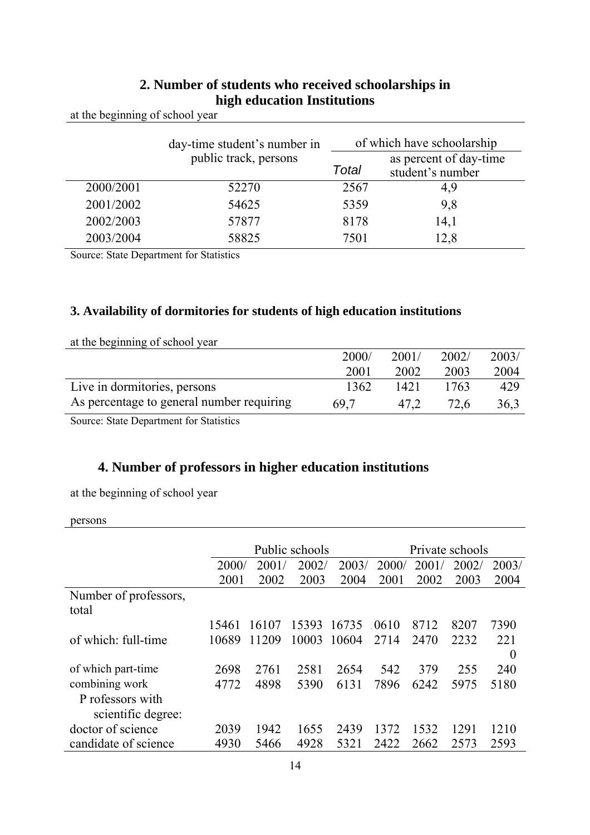|           | day-time student's number in |       | of which have schoolarship                 |  |  |  |
|-----------|------------------------------|-------|--------------------------------------------|--|--|--|
|           | public track, persons        | Total | as percent of day-time<br>student's number |  |  |  |
| 2000/2001 | 52270                        | 2567  | 4,9                                        |  |  |  |
| 2001/2002 | 54625                        | 5359  | 9,8                                        |  |  |  |
| 2002/2003 | 57877                        | 8178  | 14,1                                       |  |  |  |
| 2003/2004 | 58825                        | 7501  | 12,8                                       |  |  |  |

## **2. Number of students who received schoolarships in high education Institutions**

at the beginning of school year

Source: State Department for Statistics

## **3. Availability of dormitories for students of high education institutions**

| at the beginning of school year           |       |       |       |       |
|-------------------------------------------|-------|-------|-------|-------|
|                                           | 2000/ | 2001/ | 2002/ | 2003/ |
|                                           | 2001  | 2002  | 2003  | 2004  |
| Live in dormitories, persons              | 1362  | 1421  | 1763  | 429   |
| As percentage to general number requiring | 69.7  | 47.2  | 72.6  | 36.3  |

Source: State Department for Statistics

## **4. Number of professors in higher education institutions**

at the beginning of school year

persons

|                       | Public schools |       |       | Private schools |       |       |       |          |
|-----------------------|----------------|-------|-------|-----------------|-------|-------|-------|----------|
|                       | 2000/          | 2001/ | 2002/ | 2003/           | 2000/ | 2001/ | 2002/ | 2003/    |
|                       | 2001           | 2002  | 2003  | 2004            | 2001  | 2002  | 2003  | 2004     |
| Number of professors, |                |       |       |                 |       |       |       |          |
| total                 |                |       |       |                 |       |       |       |          |
|                       | 15461          | 16107 | 15393 | 16735           | 0610  | 8712  | 8207  | 7390     |
| of which: full-time   | 10689          | 11209 | 10003 | 10604           | 2714  | 2470  | 2232  | 221      |
|                       |                |       |       |                 |       |       |       | $\theta$ |
| of which part-time    | 2698           | 2761  | 2581  | 2654            | 542   | 379   | 255   | 240      |
| combining work        | 4772           | 4898  | 5390  | 6131            | 7896  | 6242  | 5975  | 5180     |
| P rofessors with      |                |       |       |                 |       |       |       |          |
| scientific degree:    |                |       |       |                 |       |       |       |          |
| doctor of science     | 2039           | 1942  | 1655  | 2439            | 1372  | 1532  | 1291  | 1210     |
| candidate of science  | 4930           | 5466  | 4928  | 5321            | 2422  | 2662  | 2573  | 2593     |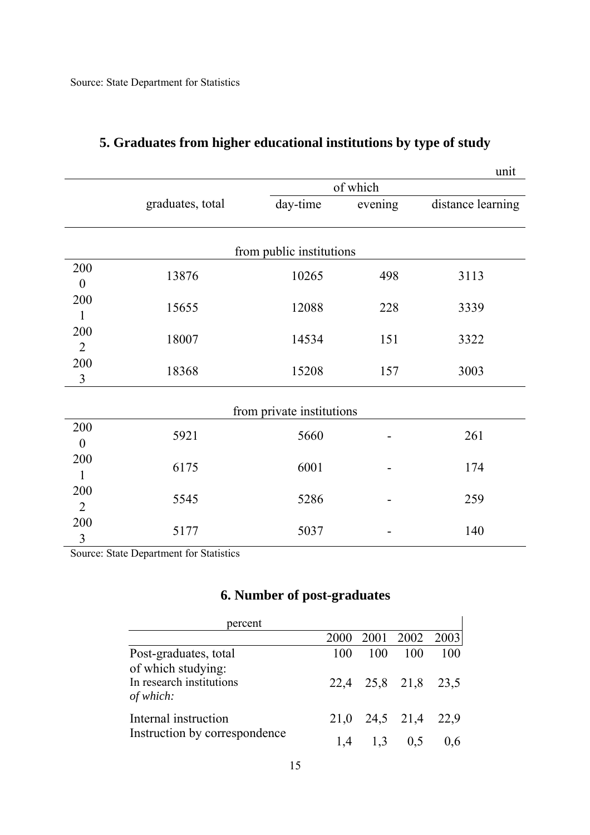|                  |                  |                           |          | unit              |  |  |  |
|------------------|------------------|---------------------------|----------|-------------------|--|--|--|
|                  |                  |                           | of which |                   |  |  |  |
|                  | graduates, total | day-time                  | evening  | distance learning |  |  |  |
|                  |                  |                           |          |                   |  |  |  |
|                  |                  |                           |          |                   |  |  |  |
|                  |                  | from public institutions  |          |                   |  |  |  |
| 200              | 13876            | 10265                     | 498      | 3113              |  |  |  |
| $\boldsymbol{0}$ |                  |                           |          |                   |  |  |  |
| 200              | 15655            | 12088                     | 228      | 3339              |  |  |  |
| 1                |                  |                           |          |                   |  |  |  |
| 200              | 18007            | 14534                     | 151      | 3322              |  |  |  |
| $\overline{2}$   |                  |                           |          |                   |  |  |  |
| 200              |                  |                           |          |                   |  |  |  |
| $\mathfrak{Z}$   | 18368            | 15208                     | 157      | 3003              |  |  |  |
|                  |                  |                           |          |                   |  |  |  |
|                  |                  | from private institutions |          |                   |  |  |  |
| 200              |                  |                           |          |                   |  |  |  |
| $\boldsymbol{0}$ | 5921             | 5660                      |          | 261               |  |  |  |
| 200              |                  |                           |          |                   |  |  |  |
| $\mathbf{1}$     | 6175             | 6001                      |          | 174               |  |  |  |
| 200              |                  |                           |          |                   |  |  |  |
| $\overline{2}$   | 5545             | 5286                      |          | 259               |  |  |  |
| 200              |                  |                           |          |                   |  |  |  |
| $\mathfrak{Z}$   | 5177             | 5037                      |          | 140               |  |  |  |

## **5. Graduates from higher educational institutions by type of study**

Source: State Department for Statistics

## **6. Number of post-graduates**

| percent                                     |     |                   |                     |     |
|---------------------------------------------|-----|-------------------|---------------------|-----|
|                                             |     |                   | 2000 2001 2002 2003 |     |
| Post-graduates, total<br>of which studying: | 100 | 100               | 100                 | 100 |
| In research institutions<br>of which:       |     |                   | 22,4 25,8 21,8 23,5 |     |
| Internal instruction                        |     |                   | 21,0 24,5 21,4 22,9 |     |
| Instruction by correspondence               |     | $1,4$ $1,3$ $0,5$ |                     |     |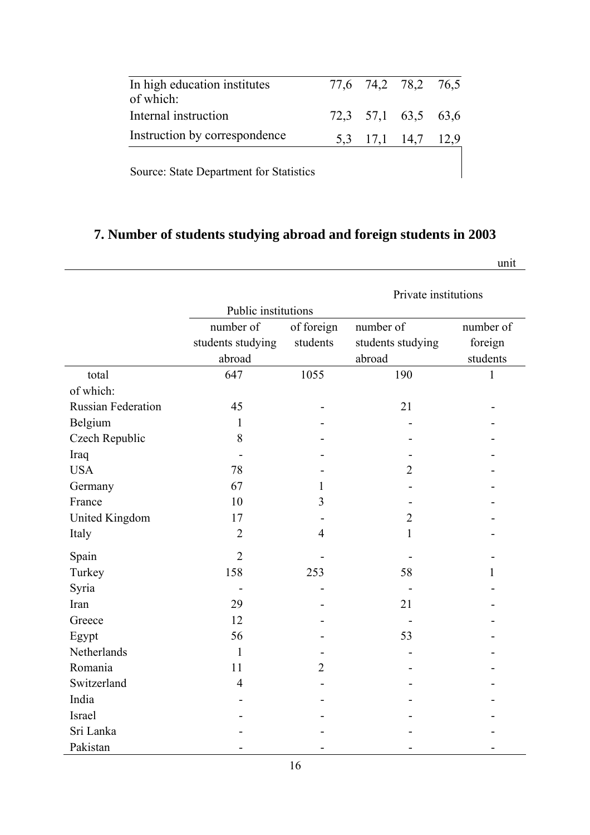| In high education institutes<br>of which: |  | 77,6 74,2 78,2 76,5 |  |
|-------------------------------------------|--|---------------------|--|
| Internal instruction                      |  | 72,3 57,1 63,5 63,6 |  |
| Instruction by correspondence             |  | 5,3 17,1 14,7 12,9  |  |
| Source: State Department for Statistics   |  |                     |  |

## **7. Number of students studying abroad and foreign students in 2003**

unit

|                           |                     | Private institutions |                   |              |  |  |
|---------------------------|---------------------|----------------------|-------------------|--------------|--|--|
|                           | Public institutions |                      |                   |              |  |  |
|                           | number of           | of foreign           | number of         | number of    |  |  |
|                           | students studying   | students             | students studying | foreign      |  |  |
|                           | abroad              |                      | abroad            | students     |  |  |
| total                     | 647                 | 1055                 | 190               | $\mathbf{1}$ |  |  |
| of which:                 |                     |                      |                   |              |  |  |
| <b>Russian Federation</b> | 45                  |                      | 21                |              |  |  |
| Belgium                   | 1                   |                      |                   |              |  |  |
| Czech Republic            | 8                   |                      |                   |              |  |  |
| Iraq                      |                     |                      |                   |              |  |  |
| <b>USA</b>                | 78                  |                      | 2                 |              |  |  |
| Germany                   | 67                  | 1                    |                   |              |  |  |
| France                    | 10                  | 3                    |                   |              |  |  |
| United Kingdom            | 17                  |                      | $\overline{2}$    |              |  |  |
| Italy                     | $\overline{2}$      | $\overline{4}$       | 1                 |              |  |  |
| Spain                     | $\overline{2}$      |                      |                   |              |  |  |
| Turkey                    | 158                 | 253                  | 58                | 1            |  |  |
| Syria                     |                     |                      |                   |              |  |  |
| Iran                      | 29                  |                      | 21                |              |  |  |
| Greece                    | 12                  |                      |                   |              |  |  |
| Egypt                     | 56                  |                      | 53                |              |  |  |
| Netherlands               | $\mathbf{1}$        |                      |                   |              |  |  |
| Romania                   | 11                  | $\overline{2}$       |                   |              |  |  |
| Switzerland               | $\overline{4}$      |                      |                   |              |  |  |
| India                     |                     |                      |                   |              |  |  |
| Israel                    |                     |                      |                   |              |  |  |
| Sri Lanka                 |                     |                      |                   |              |  |  |
| Pakistan                  |                     |                      |                   |              |  |  |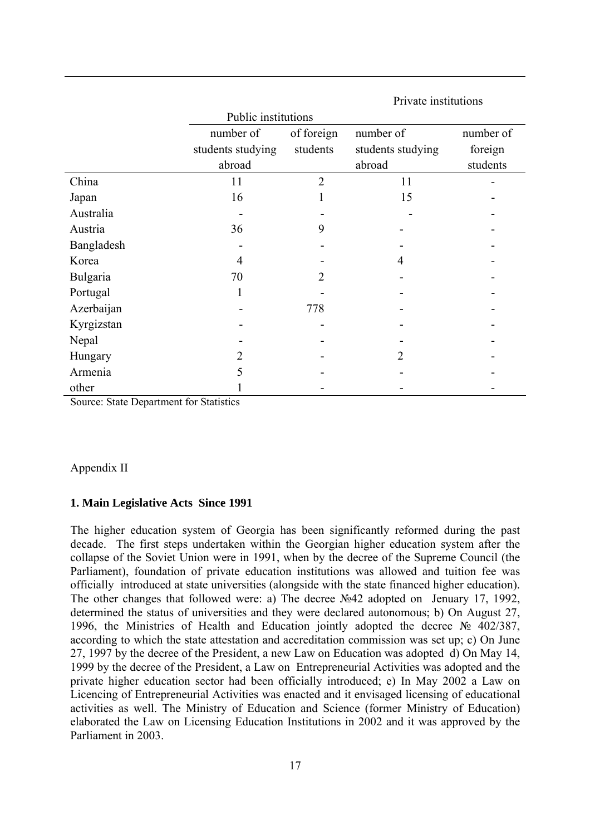|            | Public institutions |                |                   |           |  |  |  |
|------------|---------------------|----------------|-------------------|-----------|--|--|--|
|            | number of           | of foreign     | number of         | number of |  |  |  |
|            | students studying   | students       | students studying | foreign   |  |  |  |
|            | abroad              |                | abroad            | students  |  |  |  |
| China      | 11                  | $\overline{2}$ | 11                |           |  |  |  |
| Japan      | 16                  |                | 15                |           |  |  |  |
| Australia  |                     |                |                   |           |  |  |  |
| Austria    | 36                  | 9              |                   |           |  |  |  |
| Bangladesh |                     |                |                   |           |  |  |  |
| Korea      | 4                   |                | 4                 |           |  |  |  |
| Bulgaria   | 70                  | 2              |                   |           |  |  |  |
| Portugal   | 1                   |                |                   |           |  |  |  |
| Azerbaijan |                     | 778            |                   |           |  |  |  |
| Kyrgizstan |                     |                |                   |           |  |  |  |
| Nepal      |                     |                |                   |           |  |  |  |
| Hungary    | 2                   |                | 2                 |           |  |  |  |
| Armenia    |                     |                |                   |           |  |  |  |
| other      |                     |                |                   |           |  |  |  |

Private institutions

Source: State Department for Statistics

#### Appendix II

#### **1. Main Legislative Acts Since 1991**

The higher education system of Georgia has been significantly reformed during the past decade. The first steps undertaken within the Georgian higher education system after the collapse of the Soviet Union were in 1991, when by the decree of the Supreme Council (the Parliament), foundation of private education institutions was allowed and tuition fee was officially introduced at state universities (alongside with the state financed higher education). The other changes that followed were: a) The decree №42 adopted on Jenuary 17, 1992, determined the status of universities and they were declared autonomous; b) On August 27, 1996, the Ministries of Health and Education jointly adopted the decree № 402/387, according to which the state attestation and accreditation commission was set up; c) On June 27, 1997 by the decree of the President, a new Law on Education was adopted d) On May 14, 1999 by the decree of the President, a Law on Entrepreneurial Activities was adopted and the private higher education sector had been officially introduced; e) In May 2002 a Law on Licencing of Entrepreneurial Activities was enacted and it envisaged licensing of educational activities as well. The Ministry of Education and Science (former Ministry of Education) elaborated the Law on Licensing Education Institutions in 2002 and it was approved by the Parliament in 2003.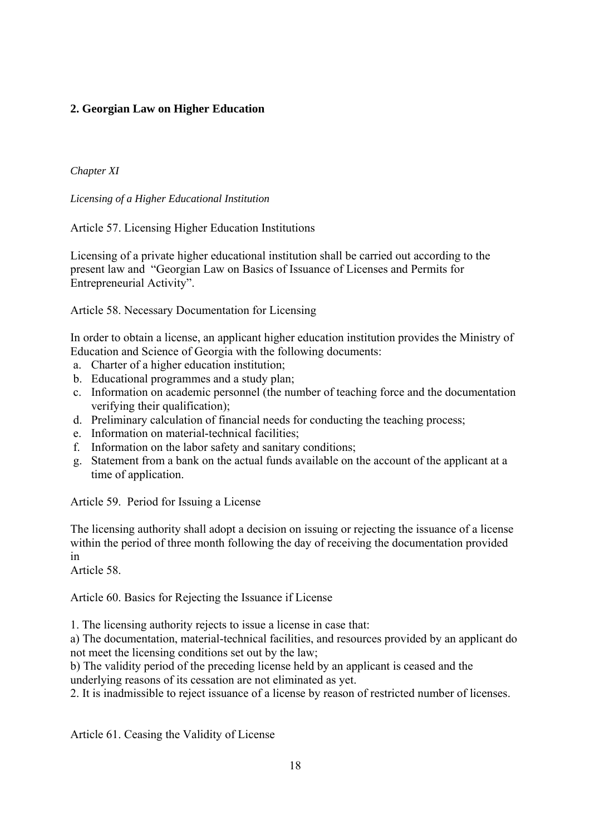## **2. Georgian Law on Higher Education**

*Chapter XI* 

*Licensing of a Higher Educational Institution* 

Article 57. Licensing Higher Education Institutions

Licensing of a private higher educational institution shall be carried out according to the present law and "Georgian Law on Basics of Issuance of Licenses and Permits for Entrepreneurial Activity".

Article 58. Necessary Documentation for Licensing

In order to obtain a license, an applicant higher education institution provides the Ministry of Education and Science of Georgia with the following documents:

- a. Charter of a higher education institution;
- b. Educational programmes and a study plan;
- c. Information on academic personnel (the number of teaching force and the documentation verifying their qualification);
- d. Preliminary calculation of financial needs for conducting the teaching process;
- e. Information on material-technical facilities;
- f. Information on the labor safety and sanitary conditions;
- g. Statement from a bank on the actual funds available on the account of the applicant at a time of application.

Article 59. Period for Issuing a License

The licensing authority shall adopt a decision on issuing or rejecting the issuance of a license within the period of three month following the day of receiving the documentation provided in

Article 58.

Article 60. Basics for Rejecting the Issuance if License

1. The licensing authority rejects to issue a license in case that:

a) The documentation, material-technical facilities, and resources provided by an applicant do not meet the licensing conditions set out by the law;

b) The validity period of the preceding license held by an applicant is ceased and the underlying reasons of its cessation are not eliminated as yet.

2. It is inadmissible to reject issuance of a license by reason of restricted number of licenses.

Article 61. Ceasing the Validity of License